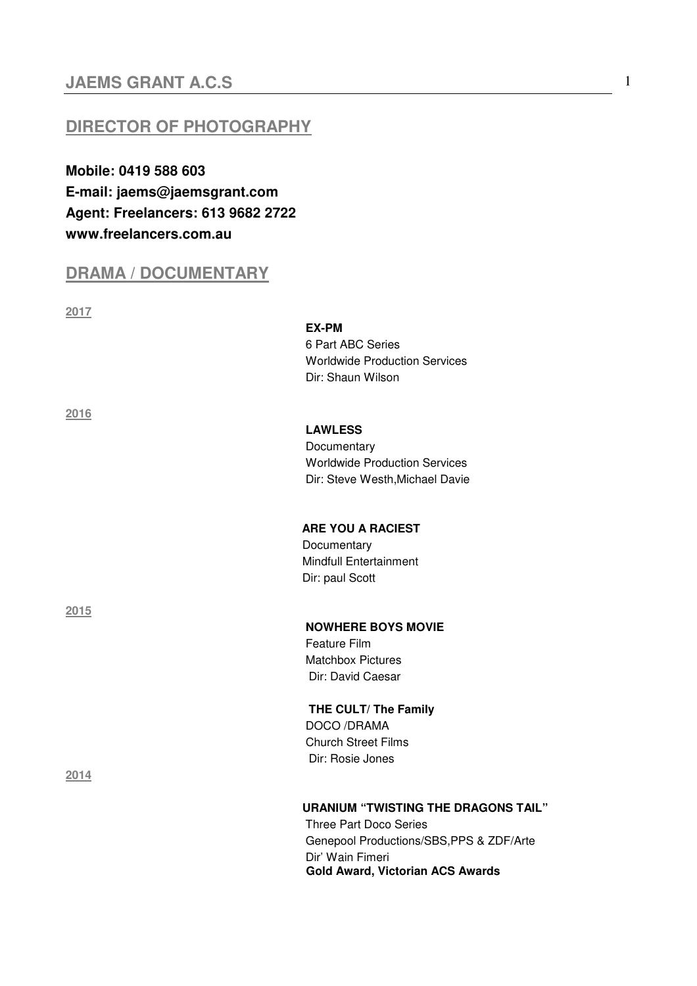## **JAEMS GRANT A.C.S** 1

## **DIRECTOR OF PHOTOGRAPHY**

**Mobile: 0419 588 603 E-mail: jaems@jaemsgrant.com Agent: Freelancers: 613 9682 2722 www.freelancers.com.au** 

## **DRAMA / DOCUMENTARY**

**2017** 

 **EX-PM** 6 Part ABC Series Worldwide Production Services Dir: Shaun Wilson

**2016** 

**2015** 

**2014** 

## **LAWLESS**

Documentary Worldwide Production Services Dir: Steve Westh,Michael Davie

 **ARE YOU A RACIEST** Documentary Mindfull Entertainment Dir: paul Scott

 **NOWHERE BOYS MOVIE** Feature Film Matchbox Pictures Dir: David Caesar

 **THE CULT/ The Family** DOCO /DRAMA Church Street Films Dir: Rosie Jones

#### **URANIUM "TWISTING THE DRAGONS TAIL"**

Three Part Doco Series Genepool Productions/SBS,PPS & ZDF/Arte Dir' Wain Fimeri **Gold Award, Victorian ACS Awards**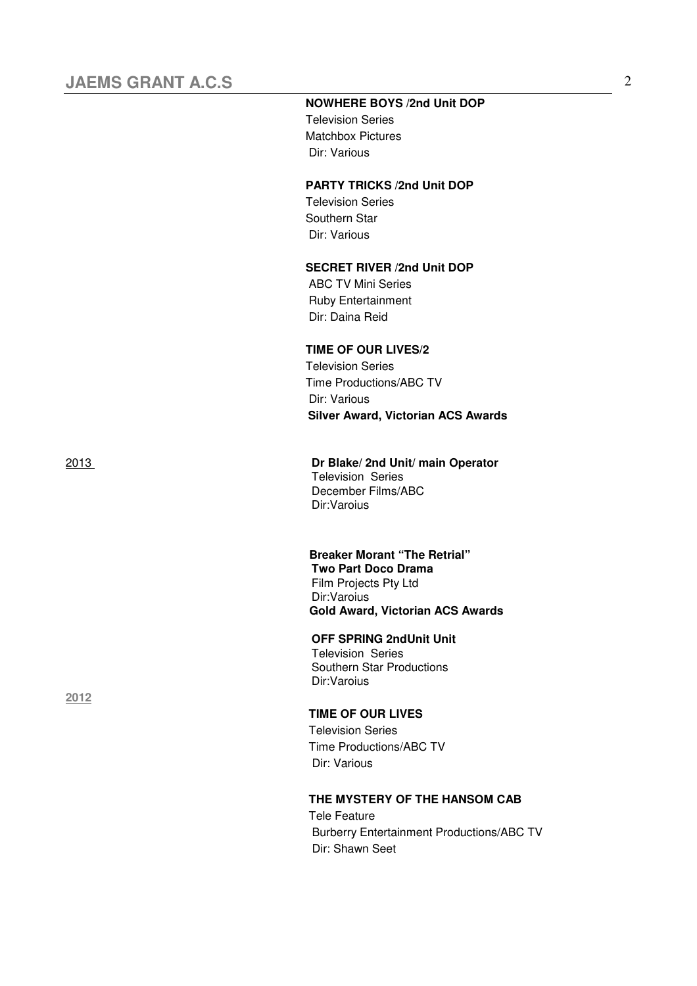#### **NOWHERE BOYS /2nd Unit DOP**

 Television Series Matchbox Pictures Dir: Various

#### **PARTY TRICKS /2nd Unit DOP**

 Television Series Southern Star Dir: Various

#### **SECRET RIVER /2nd Unit DOP**

 ABC TV Mini Series Ruby Entertainment Dir: Daina Reid

### **TIME OF OUR LIVES/2**

 Television Series Time Productions/ABC TV Dir: Various **Silver Award, Victorian ACS Awards** 

**2012**

#### 2013 **Dr Blake/ 2nd Unit/ main Operator**

Television Series December Films/ABC Dir:Varoius

### **Breaker Morant "The Retrial"**

 **Two Part Doco Drama**  Film Projects Pty Ltd Dir:Varoius **Gold Award, Victorian ACS Awards**

#### **OFF SPRING 2ndUnit Unit**

 Television Series Southern Star Productions Dir:Varoius

#### **TIME OF OUR LIVES**

 Television Series Time Productions/ABC TV Dir: Various

#### **THE MYSTERY OF THE HANSOM CAB**

Tele Feature Burberry Entertainment Productions/ABC TV Dir: Shawn Seet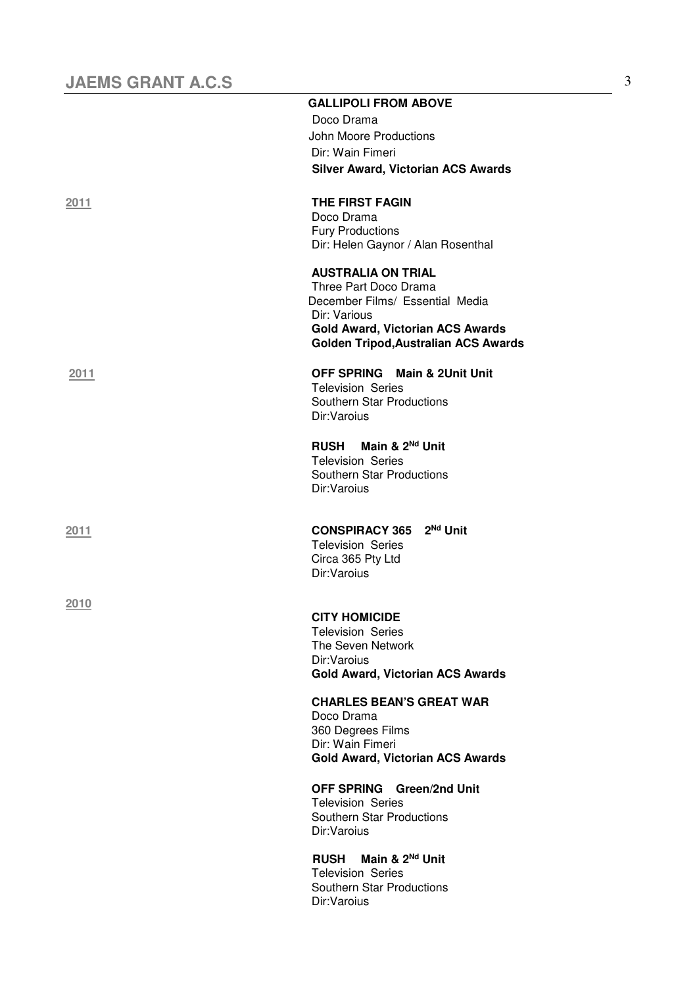|      | <b>GALLIPOLI FROM ABOVE</b>                                                                                                                                                                     |
|------|-------------------------------------------------------------------------------------------------------------------------------------------------------------------------------------------------|
|      | Doco Drama                                                                                                                                                                                      |
|      | John Moore Productions                                                                                                                                                                          |
|      | Dir: Wain Fimeri                                                                                                                                                                                |
|      | <b>Silver Award, Victorian ACS Awards</b>                                                                                                                                                       |
| 2011 | THE FIRST FAGIN<br>Doco Drama                                                                                                                                                                   |
|      | <b>Fury Productions</b><br>Dir: Helen Gaynor / Alan Rosenthal                                                                                                                                   |
|      | <b>AUSTRALIA ON TRIAL</b><br>Three Part Doco Drama<br>December Films/ Essential Media<br>Dir: Various<br><b>Gold Award, Victorian ACS Awards</b><br><b>Golden Tripod, Australian ACS Awards</b> |
| 2011 | <b>OFF SPRING Main &amp; 2Unit Unit</b><br><b>Television Series</b><br>Southern Star Productions<br>Dir:Varoius                                                                                 |
|      | RUSH Main & 2 <sup>Nd</sup> Unit<br><b>Television Series</b><br>Southern Star Productions<br>Dir:Varoius                                                                                        |
| 2011 | $2^{Nd}$ Unit<br><b>CONSPIRACY 365</b><br><b>Television Series</b><br>Circa 365 Pty Ltd<br>Dir:Varoius                                                                                          |
| 2010 |                                                                                                                                                                                                 |
|      | <b>CITY HOMICIDE</b>                                                                                                                                                                            |
|      | <b>Television Series</b>                                                                                                                                                                        |
|      | The Seven Network<br>Dir:Varoius                                                                                                                                                                |
|      | <b>Gold Award, Victorian ACS Awards</b>                                                                                                                                                         |
|      | <b>CHARLES BEAN'S GREAT WAR</b><br>Doco Drama                                                                                                                                                   |
|      | 360 Degrees Films                                                                                                                                                                               |
|      | Dir: Wain Fimeri                                                                                                                                                                                |
|      | <b>Gold Award, Victorian ACS Awards</b>                                                                                                                                                         |
|      | OFF SPRING Green/2nd Unit                                                                                                                                                                       |
|      | <b>Television Series</b>                                                                                                                                                                        |
|      | Southern Star Productions<br>Dir:Varoius                                                                                                                                                        |
|      | Main & 2 <sup>Nd</sup> Unit<br><b>RUSH</b>                                                                                                                                                      |
|      | <b>Television Series</b><br>Southern Star Productions                                                                                                                                           |
|      | Dir:Varoius                                                                                                                                                                                     |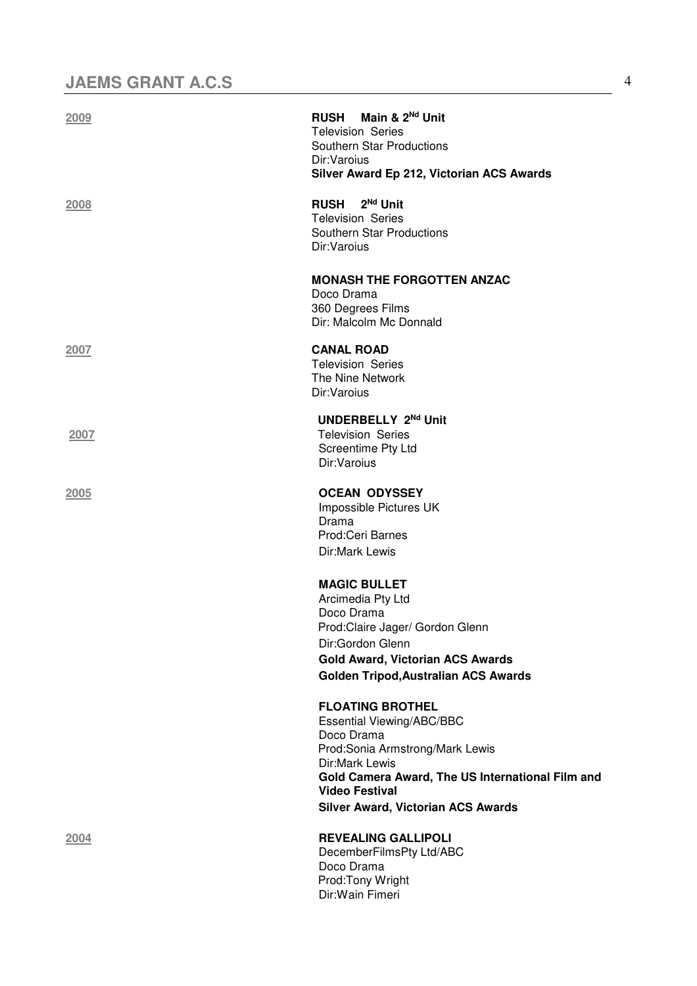| 2009        | RUSH Main & 2 <sup>Nd</sup> Unit<br><b>Television Series</b><br>Southern Star Productions<br>Dir:Varoius<br>Silver Award Ep 212, Victorian ACS Awards                                                                                                    |
|-------------|----------------------------------------------------------------------------------------------------------------------------------------------------------------------------------------------------------------------------------------------------------|
| 2008        | <b>RUSH</b><br>2 <sup>Nd</sup> Unit<br><b>Television Series</b><br>Southern Star Productions<br>Dir:Varoius                                                                                                                                              |
|             | <b>MONASH THE FORGOTTEN ANZAC</b><br>Doco Drama<br>360 Degrees Films<br>Dir: Malcolm Mc Donnald                                                                                                                                                          |
| 2007        | <b>CANAL ROAD</b><br><b>Television Series</b><br>The Nine Network<br>Dir:Varoius                                                                                                                                                                         |
| 2007        | UNDERBELLY 2Nd Unit<br><b>Television Series</b><br>Screentime Pty Ltd<br>Dir:Varoius                                                                                                                                                                     |
| 2005        | <b>OCEAN ODYSSEY</b><br>Impossible Pictures UK<br>Drama<br>Prod:Ceri Barnes<br>Dir:Mark Lewis                                                                                                                                                            |
|             | <b>MAGIC BULLET</b><br>Arcimedia Pty Ltd<br>Doco Drama<br>Prod:Claire Jager/ Gordon Glenn<br>Dir:Gordon Glenn<br>Gold Award, Victorian ACS Awards<br>Golden Tripod, Australian ACS Awards                                                                |
|             | <b>FLOATING BROTHEL</b><br><b>Essential Viewing/ABC/BBC</b><br>Doco Drama<br>Prod:Sonia Armstrong/Mark Lewis<br>Dir:Mark Lewis<br>Gold Camera Award, The US International Film and<br><b>Video Festival</b><br><b>Silver Award, Victorian ACS Awards</b> |
| <u>2004</u> | <b>REVEALING GALLIPOLI</b><br>DecemberFilmsPty Ltd/ABC<br>Doco Drama<br>Prod: Tony Wright<br>Dir: Wain Fimeri                                                                                                                                            |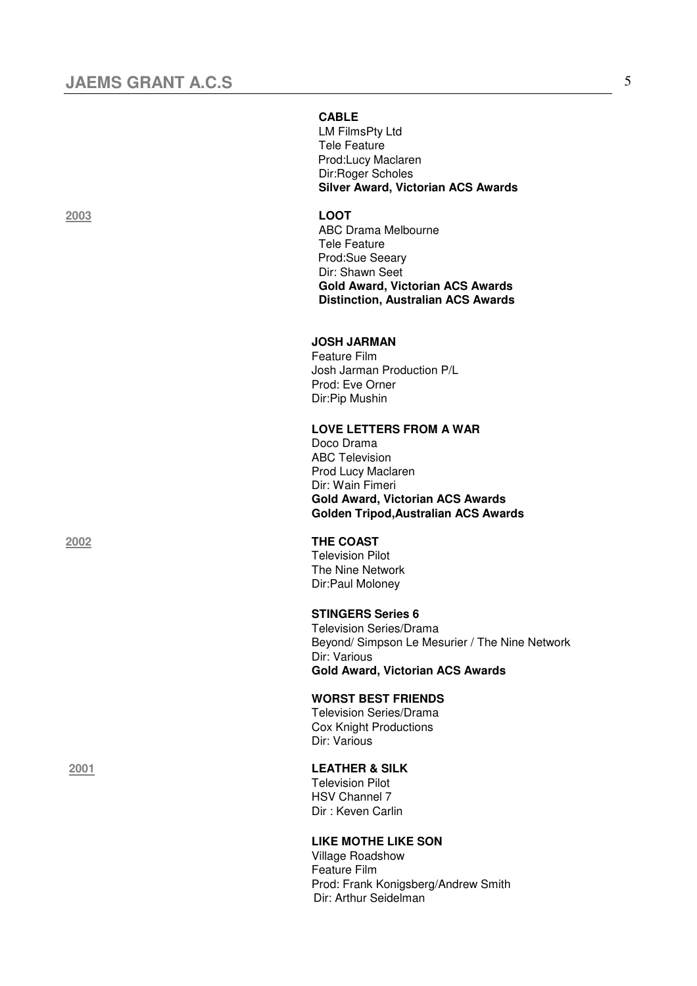#### **CABLE**

 LM FilmsPty Ltd Tele Feature Prod:Lucy Maclaren Dir:Roger Scholes  **Silver Award, Victorian ACS Awards** 

#### **2003 LOOT**

 ABC Drama Melbourne Tele Feature Prod:Sue Seeary Dir: Shawn Seet  **Gold Award, Victorian ACS Awards Distinction, Australian ACS Awards** 

#### **JOSH JARMAN**

 Feature Film Josh Jarman Production P/L Prod: Eve Orner Dir:Pip Mushin

#### **LOVE LETTERS FROM A WAR**

 Doco Drama ABC Television Prod Lucy Maclaren Dir: Wain Fimeri **Gold Award, Victorian ACS Awards Golden Tripod,Australian ACS Awards** 

#### **2002 THE COAST**

 Television Pilot The Nine Network Dir:Paul Moloney

#### **STINGERS Series 6**

 Television Series/Drama Beyond/ Simpson Le Mesurier / The Nine Network Dir: Various **Gold Award, Victorian ACS Awards** 

#### **WORST BEST FRIENDS**

 Television Series/Drama Cox Knight Productions Dir: Various

#### **2001 LEATHER & SILK**

Television Pilot HSV Channel 7 Dir : Keven Carlin

#### **LIKE MOTHE LIKE SON**

Village Roadshow Feature Film Prod: Frank Konigsberg/Andrew Smith Dir: Arthur Seidelman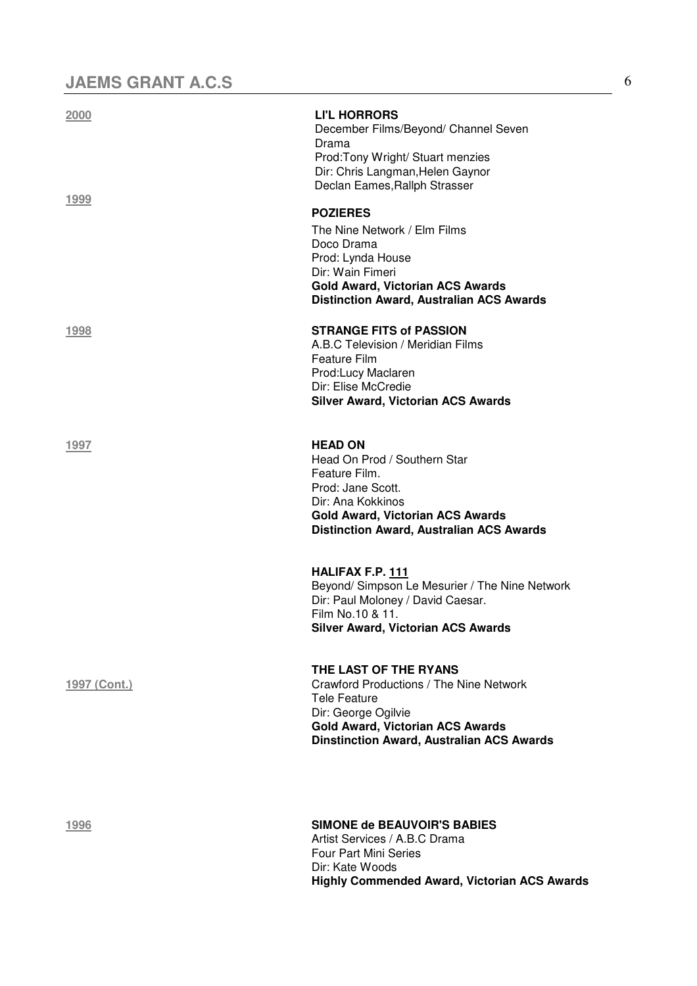| 2000         | <b>LI'L HORRORS</b><br>December Films/Beyond/ Channel Seven<br>Drama<br>Prod: Tony Wright/ Stuart menzies<br>Dir: Chris Langman, Helen Gaynor<br>Declan Eames, Rallph Strasser                                |
|--------------|---------------------------------------------------------------------------------------------------------------------------------------------------------------------------------------------------------------|
| 1999         | <b>POZIERES</b><br>The Nine Network / Elm Films<br>Doco Drama<br>Prod: Lynda House<br>Dir: Wain Fimeri<br><b>Gold Award, Victorian ACS Awards</b><br><b>Distinction Award, Australian ACS Awards</b>          |
| 1998         | <b>STRANGE FITS of PASSION</b><br>A.B.C Television / Meridian Films<br><b>Feature Film</b><br>Prod:Lucy Maclaren<br>Dir: Elise McCredie<br><b>Silver Award, Victorian ACS Awards</b>                          |
| 1997         | <b>HEAD ON</b><br>Head On Prod / Southern Star<br>Feature Film.<br>Prod: Jane Scott.<br>Dir: Ana Kokkinos<br><b>Gold Award, Victorian ACS Awards</b><br><b>Distinction Award, Australian ACS Awards</b>       |
|              | <b>HALIFAX F.P. 111</b><br>Beyond/ Simpson Le Mesurier / The Nine Network<br>Dir: Paul Moloney / David Caesar.<br>Film No.10 & 11.<br><b>Silver Award, Victorian ACS Awards</b>                               |
| 1997 (Cont.) | THE LAST OF THE RYANS<br>Crawford Productions / The Nine Network<br><b>Tele Feature</b><br>Dir: George Ogilvie<br><b>Gold Award, Victorian ACS Awards</b><br><b>Dinstinction Award, Australian ACS Awards</b> |
| 1996         | <b>SIMONE de BEAUVOIR'S BABIES</b><br>Artist Services / A.B.C Drama<br><b>Four Part Mini Series</b><br>Dir: Koto Waade                                                                                        |

 Dir: Kate Woods **Highly Commended Award, Victorian ACS Awards**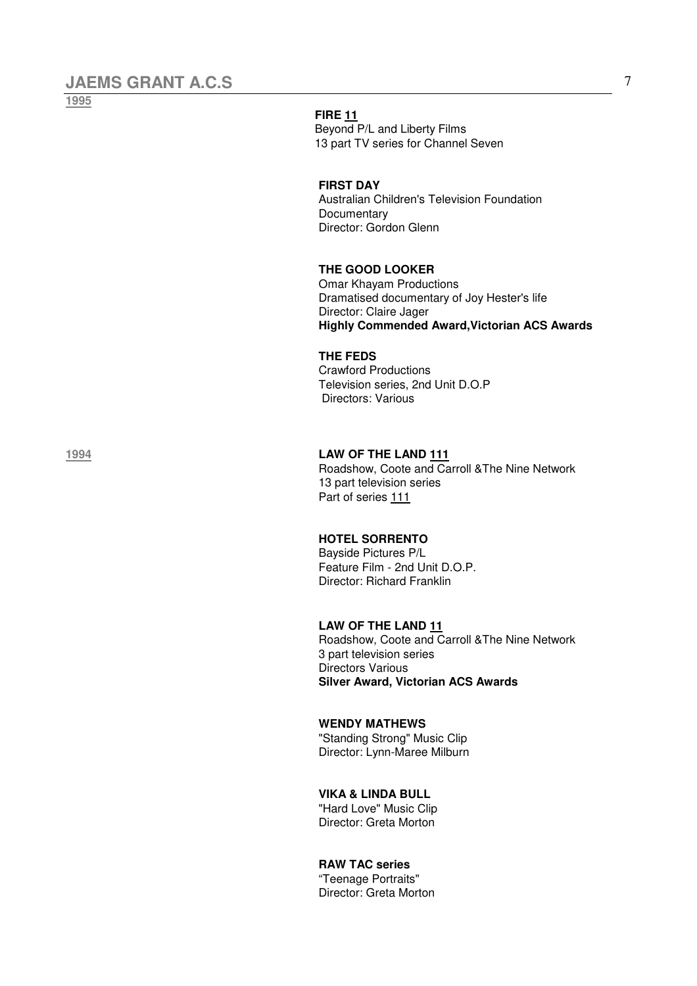**1995**

### **FIRE 11**

Beyond P/L and Liberty Films 13 part TV series for Channel Seven

#### **FIRST DAY**

 Australian Children's Television Foundation **Documentary** Director: Gordon Glenn

### **THE GOOD LOOKER**

 Omar Khayam Productions Dramatised documentary of Joy Hester's life Director: Claire Jager **Highly Commended Award,Victorian ACS Awards**

#### **THE FEDS**

 Crawford Productions Television series, 2nd Unit D.O.P Directors: Various

### **1994 LAW OF THE LAND 111**

 Roadshow, Coote and Carroll &The Nine Network 13 part television series Part of series 111

### **HOTEL SORRENTO**

 Bayside Pictures P/L Feature Film - 2nd Unit D.O.P. Director: Richard Franklin

#### **LAW OF THE LAND 11**

 Roadshow, Coote and Carroll &The Nine Network 3 part television series Directors Various **Silver Award, Victorian ACS Awards** 

### **WENDY MATHEWS**

"Standing Strong" Music Clip Director: Lynn-Maree Milburn

#### **VIKA & LINDA BULL**

 "Hard Love" Music Clip Director: Greta Morton

#### **RAW TAC series**

 "Teenage Portraits" Director: Greta Morton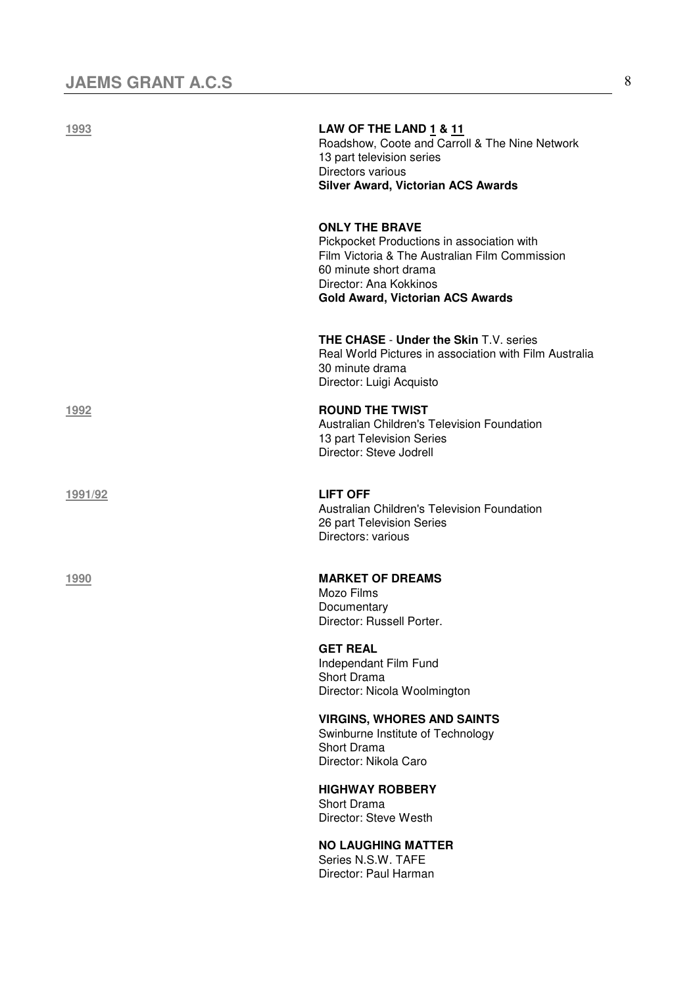| 1993    | LAW OF THE LAND 1 & 11<br>Roadshow, Coote and Carroll & The Nine Network<br>13 part television series<br>Directors various<br><b>Silver Award, Victorian ACS Awards</b>                                             |
|---------|---------------------------------------------------------------------------------------------------------------------------------------------------------------------------------------------------------------------|
|         | <b>ONLY THE BRAVE</b><br>Pickpocket Productions in association with<br>Film Victoria & The Australian Film Commission<br>60 minute short drama<br>Director: Ana Kokkinos<br><b>Gold Award, Victorian ACS Awards</b> |
|         | THE CHASE - Under the Skin T.V. series<br>Real World Pictures in association with Film Australia<br>30 minute drama<br>Director: Luigi Acquisto                                                                     |
| 1992    | <b>ROUND THE TWIST</b><br>Australian Children's Television Foundation<br>13 part Television Series<br>Director: Steve Jodrell                                                                                       |
| 1991/92 | <b>LIFT OFF</b><br>Australian Children's Television Foundation<br>26 part Television Series<br>Directors: various                                                                                                   |
| 1990    | <b>MARKET OF DREAMS</b><br>Mozo Films<br>Documentary<br>Director: Russell Porter.                                                                                                                                   |
|         | <b>GET REAL</b><br>Independant Film Fund<br><b>Short Drama</b><br>Director: Nicola Woolmington                                                                                                                      |
|         | <b>VIRGINS, WHORES AND SAINTS</b><br>Swinburne Institute of Technology<br><b>Short Drama</b><br>Director: Nikola Caro                                                                                               |
|         | <b>HIGHWAY ROBBERY</b><br>Short Drama<br>Director: Steve Westh                                                                                                                                                      |

 **NO LAUGHING MATTER** Series N.S.W. TAFE Director: Paul Harman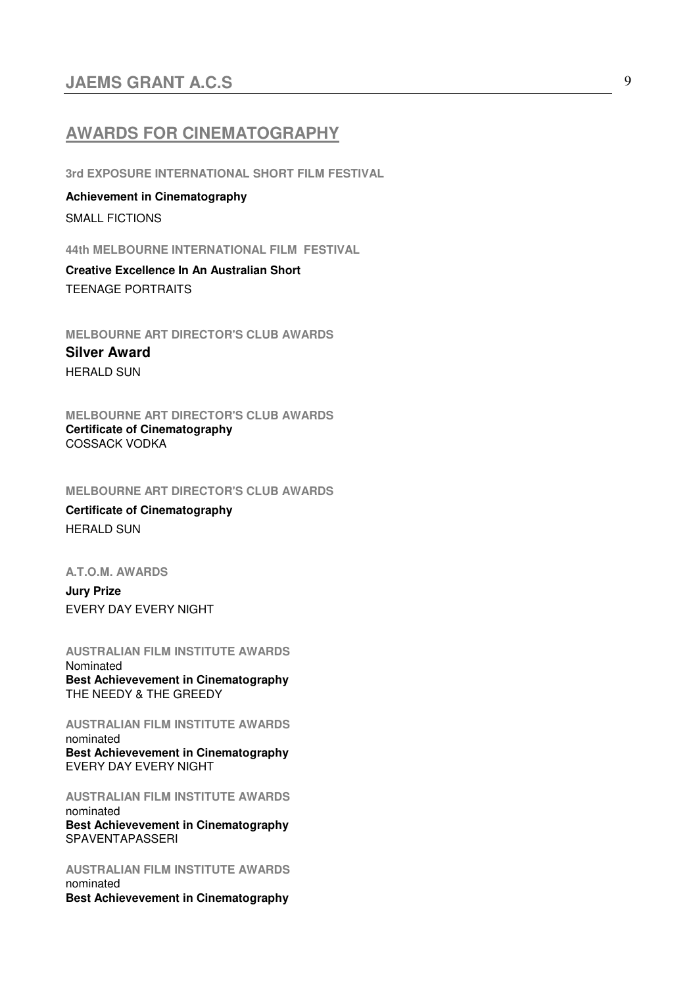## **AWARDS FOR CINEMATOGRAPHY**

**3rd EXPOSURE INTERNATIONAL SHORT FILM FESTIVAL** 

**Achievement in Cinematography**  SMALL FICTIONS

**44th MELBOURNE INTERNATIONAL FILM FESTIVAL** 

**Creative Excellence In An Australian Short**  TEENAGE PORTRAITS

**MELBOURNE ART DIRECTOR'S CLUB AWARDS Silver Award**  HERALD SUN

**MELBOURNE ART DIRECTOR'S CLUB AWARDS Certificate of Cinematography**  COSSACK VODKA

**MELBOURNE ART DIRECTOR'S CLUB AWARDS**

**Certificate of Cinematography**  HERALD SUN

**A.T.O.M. AWARDS** 

**Jury Prize** EVERY DAY EVERY NIGHT

**AUSTRALIAN FILM INSTITUTE AWARDS**  Nominated **Best Achievevement in Cinematography**  THE NEEDY & THE GREEDY

**AUSTRALIAN FILM INSTITUTE AWARDS**  nominated **Best Achievevement in Cinematography**  EVERY DAY EVERY NIGHT

**AUSTRALIAN FILM INSTITUTE AWARDS**  nominated **Best Achievevement in Cinematography**  SPAVENTAPASSERI

**AUSTRALIAN FILM INSTITUTE AWARDS**  nominated **Best Achievevement in Cinematography**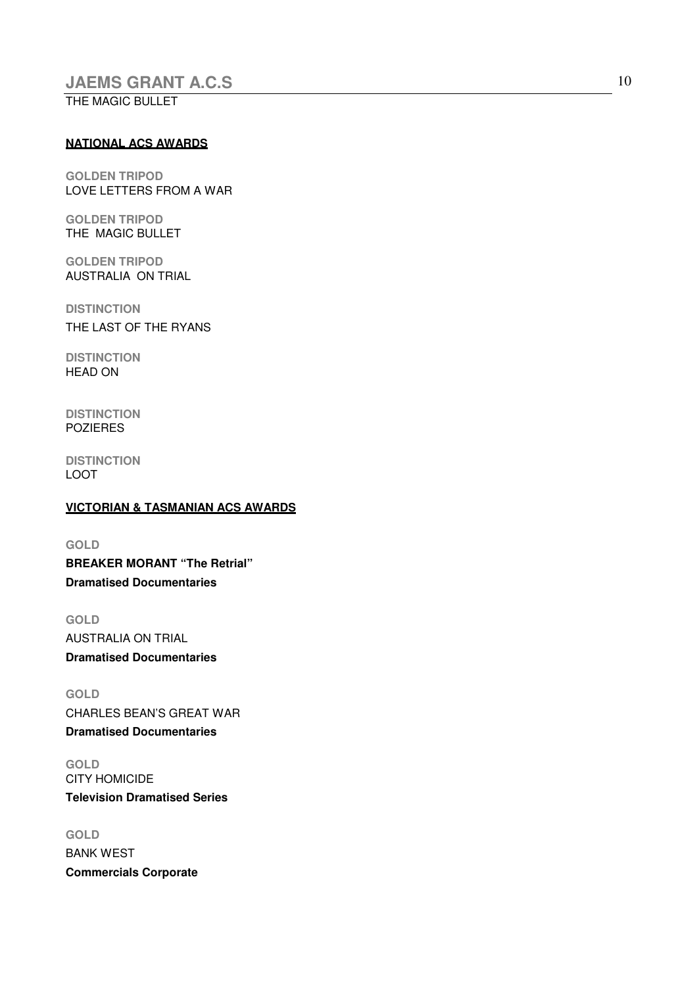THE MAGIC BULLET

#### **NATIONAL ACS AWARDS**

**GOLDEN TRIPOD**  LOVE LETTERS FROM A WAR

**GOLDEN TRIPOD**  THE MAGIC BULLET

**GOLDEN TRIPOD**  AUSTRALIA ON TRIAL

**DISTINCTION**  THE LAST OF THE RYANS

**DISTINCTION**  HEAD ON

**DISTINCTION**  POZIERES

**DISTINCTION**  LOOT

### **VICTORIAN & TASMANIAN ACS AWARDS**

**GOLD BREAKER MORANT "The Retrial" Dramatised Documentaries** 

**GOLD**  AUSTRALIA ON TRIAL **Dramatised Documentaries** 

**GOLD**  CHARLES BEAN'S GREAT WAR **Dramatised Documentaries** 

**GOLD**  CITY HOMICIDE **Television Dramatised Series** 

**GOLD**  BANK WEST **Commercials Corporate**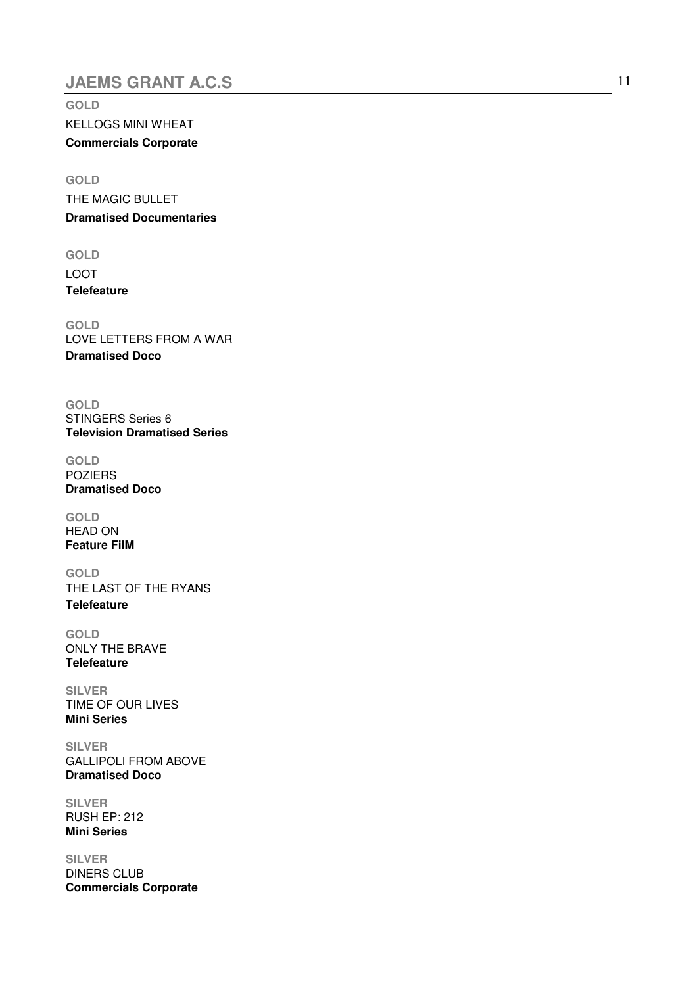**GOLD**  KELLOGS MINI WHEAT **Commercials Corporate**

**GOLD**  THE MAGIC BULLET **Dramatised Documentaries** 

**GOLD**  LOOT **Telefeature**

**GOLD**  LOVE LETTERS FROM A WAR **Dramatised Doco** 

**GOLD**  STINGERS Series 6 **Television Dramatised Series** 

**GOLD**  POZIERS **Dramatised Doco** 

**GOLD**  HEAD ON **Feature FilM** 

**GOLD**  THE LAST OF THE RYANS **Telefeature** 

**GOLD**  ONLY THE BRAVE **Telefeature** 

**SILVER**  TIME OF OUR LIVES **Mini Series** 

**SILVER**  GALLIPOLI FROM ABOVE **Dramatised Doco** 

**SILVER**  RUSH EP: 212 **Mini Series** 

**SILVER**  DINERS CLUB **Commercials Corporate**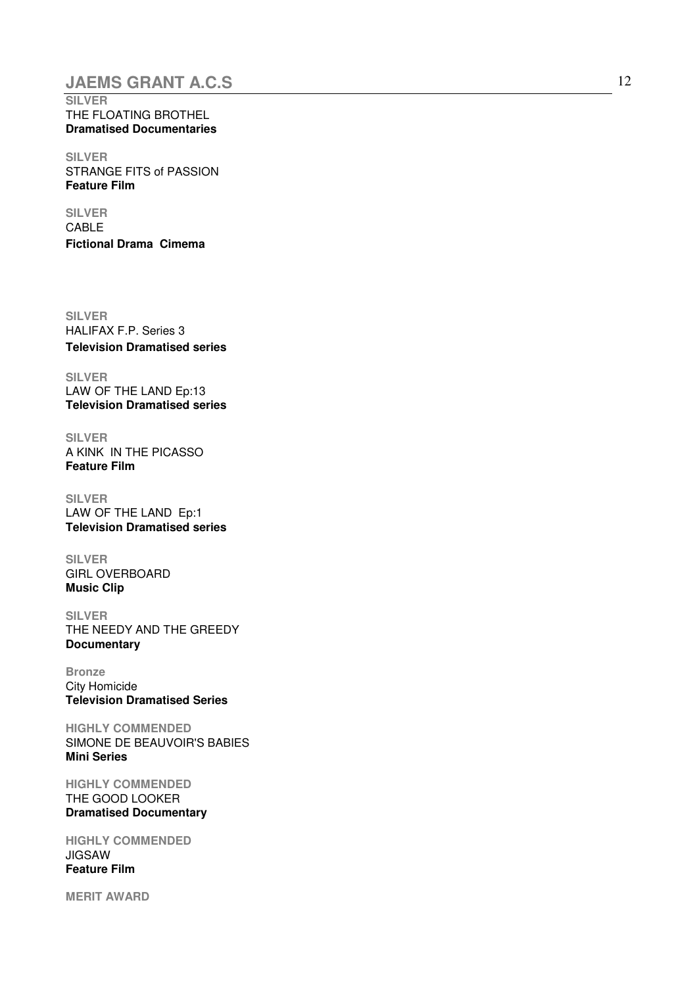## **JAEMS GRANT A.C.S** 12

**SILVER**  THE FLOATING BROTHEL **Dramatised Documentaries** 

**SILVER**  STRANGE FITS of PASSION **Feature Film** 

**SILVER**  CABLE **Fictional Drama Cimema**

**SILVER**  HALIFAX F.P. Series 3 **Television Dramatised series**

**SILVER**  LAW OF THE LAND Ep:13 **Television Dramatised series** 

**SILVER**  A KINK IN THE PICASSO **Feature Film** 

**SILVER**  LAW OF THE LAND Ep:1 **Television Dramatised series** 

**SILVER**  GIRL OVERBOARD **Music Clip** 

**SILVER**  THE NEEDY AND THE GREEDY **Documentary** 

**Bronze**  City Homicide **Television Dramatised Series** 

**HIGHLY COMMENDED**  SIMONE DE BEAUVOIR'S BABIES **Mini Series** 

**HIGHLY COMMENDED**  THE GOOD LOOKER **Dramatised Documentary**

**HIGHLY COMMENDED**  JIGSAW **Feature Film** 

**MERIT AWARD**